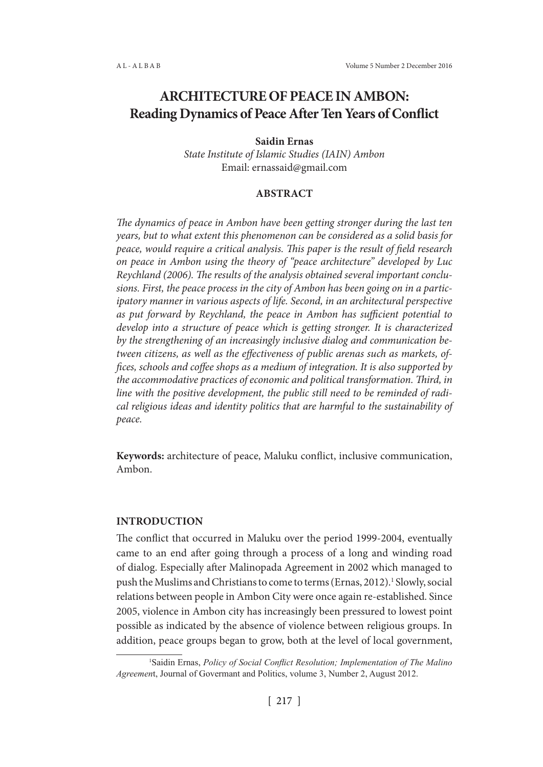# **ARCHITECTURE OF PEACE IN AMBON: Reading Dynamics of Peace After Ten Years of Conflict**

#### **Saidin Ernas**

*State Institute of Islamic Studies (IAIN) Ambon* Email: ernassaid@gmail.com

#### **ABSTRACT**

*The dynamics of peace in Ambon have been getting stronger during the last ten years, but to what extent this phenomenon can be considered as a solid basis for peace, would require a critical analysis. This paper is the result of field research on peace in Ambon using the theory of "peace architecture" developed by Luc Reychland (2006). The results of the analysis obtained several important conclusions. First, the peace process in the city of Ambon has been going on in a participatory manner in various aspects of life. Second, in an architectural perspective as put forward by Reychland, the peace in Ambon has sufficient potential to develop into a structure of peace which is getting stronger. It is characterized by the strengthening of an increasingly inclusive dialog and communication between citizens, as well as the effectiveness of public arenas such as markets, offices, schools and coffee shops as a medium of integration. It is also supported by the accommodative practices of economic and political transformation. Third, in line with the positive development, the public still need to be reminded of radical religious ideas and identity politics that are harmful to the sustainability of peace.*

**Keywords:** architecture of peace, Maluku conflict, inclusive communication, Ambon.

#### **INTRODUCTION**

The conflict that occurred in Maluku over the period 1999-2004, eventually came to an end after going through a process of a long and winding road of dialog. Especially after Malinopada Agreement in 2002 which managed to push the Muslims and Christians to come to terms (Ernas, 2012).<sup>1</sup> Slowly, social relations between people in Ambon City were once again re-established. Since 2005, violence in Ambon city has increasingly been pressured to lowest point possible as indicated by the absence of violence between religious groups. In addition, peace groups began to grow, both at the level of local government,

<sup>&</sup>lt;sup>1</sup>Saidin Ernas, *Policy of Social Conflict Resolution; Implementation of The Malino Agreemen*t, Journal of Govermant and Politics, volume 3, Number 2, August 2012.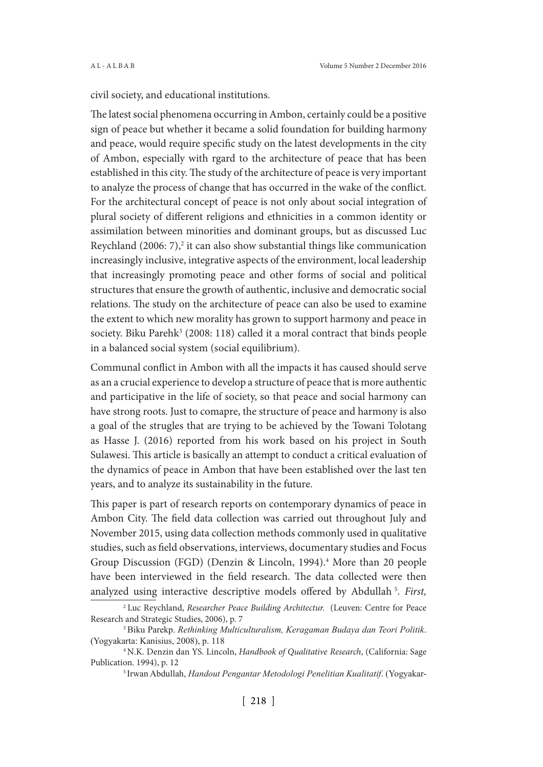civil society, and educational institutions.

The latest social phenomena occurring in Ambon, certainly could be a positive sign of peace but whether it became a solid foundation for building harmony and peace, would require specific study on the latest developments in the city of Ambon, especially with rgard to the architecture of peace that has been established in this city. The study of the architecture of peace is very important to analyze the process of change that has occurred in the wake of the conflict. For the architectural concept of peace is not only about social integration of plural society of different religions and ethnicities in a common identity or assimilation between minorities and dominant groups, but as discussed Luc Reychland  $(2006: 7)<sup>2</sup>$  it can also show substantial things like communication increasingly inclusive, integrative aspects of the environment, local leadership that increasingly promoting peace and other forms of social and political structures that ensure the growth of authentic, inclusive and democratic social relations. The study on the architecture of peace can also be used to examine the extent to which new morality has grown to support harmony and peace in society. Biku Parehk<sup>3</sup> (2008: 118) called it a moral contract that binds people in a balanced social system (social equilibrium).

Communal conflict in Ambon with all the impacts it has caused should serve as an a crucial experience to develop a structure of peace that is more authentic and participative in the life of society, so that peace and social harmony can have strong roots. Just to comapre, the structure of peace and harmony is also a goal of the strugles that are trying to be achieved by the Towani Tolotang as Hasse J. (2016) reported from his work based on his project in South Sulawesi. This article is basically an attempt to conduct a critical evaluation of the dynamics of peace in Ambon that have been established over the last ten years, and to analyze its sustainability in the future.

This paper is part of research reports on contemporary dynamics of peace in Ambon City. The field data collection was carried out throughout July and November 2015, using data collection methods commonly used in qualitative studies, such as field observations, interviews, documentary studies and Focus Group Discussion (FGD) (Denzin & Lincoln, 1994).<sup>4</sup> More than 20 people have been interviewed in the field research. The data collected were then analyzed using interactive descriptive models offered by Abdullah<sup>5</sup>. First,

<sup>2</sup> Luc Reychland, *Researcher Peace Building Architectur.* (Leuven: Centre for Peace Research and Strategic Studies, 2006), p. 7

<sup>3</sup>Biku Parekp. *Rethinking Multiculturalism, Keragaman Budaya dan Teori Politik*. (Yogyakarta: Kanisius, 2008), p. 118

<sup>4</sup> N.K. Denzin dan YS. Lincoln, *Handbook of Qualitative Research*, (California: Sage Publication. 1994), p. 12

<sup>5</sup> Irwan Abdullah, *Handout Pengantar Metodologi Penelitian Kualitatif*. (Yogyakar-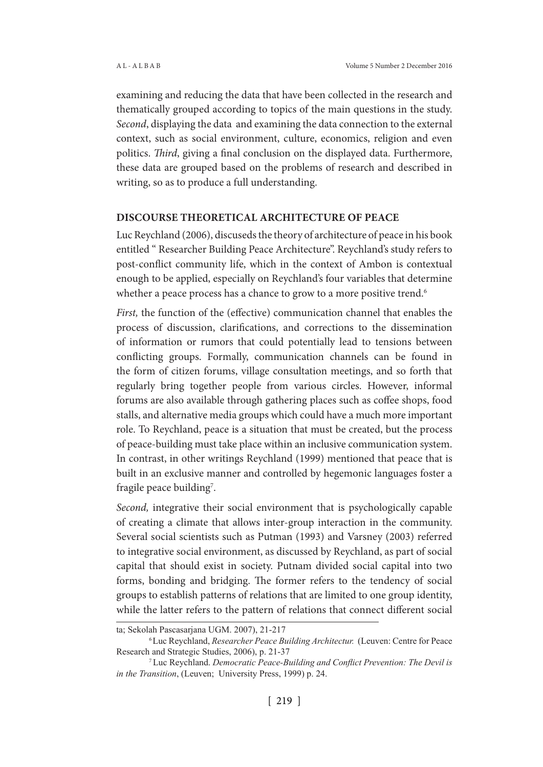examining and reducing the data that have been collected in the research and thematically grouped according to topics of the main questions in the study. *Second*, displaying the data and examining the data connection to the external context, such as social environment, culture, economics, religion and even politics. *Third*, giving a final conclusion on the displayed data. Furthermore, these data are grouped based on the problems of research and described in writing, so as to produce a full understanding.

#### **DISCOURSE THEORETICAL ARCHITECTURE OF PEACE**

Luc Reychland (2006), discuseds the theory of architecture of peace in his book entitled " Researcher Building Peace Architecture". Reychland's study refers to post-conflict community life, which in the context of Ambon is contextual enough to be applied, especially on Reychland's four variables that determine whether a peace process has a chance to grow to a more positive trend.<sup>6</sup>

*First,* the function of the (effective) communication channel that enables the process of discussion, clarifications, and corrections to the dissemination of information or rumors that could potentially lead to tensions between conflicting groups. Formally, communication channels can be found in the form of citizen forums, village consultation meetings, and so forth that regularly bring together people from various circles. However, informal forums are also available through gathering places such as coffee shops, food stalls, and alternative media groups which could have a much more important role. To Reychland, peace is a situation that must be created, but the process of peace-building must take place within an inclusive communication system. In contrast, in other writings Reychland (1999) mentioned that peace that is built in an exclusive manner and controlled by hegemonic languages foster a fragile peace building<sup>7</sup>.

*Second,* integrative their social environment that is psychologically capable of creating a climate that allows inter-group interaction in the community. Several social scientists such as Putman (1993) and Varsney (2003) referred to integrative social environment, as discussed by Reychland, as part of social capital that should exist in society. Putnam divided social capital into two forms, bonding and bridging. The former refers to the tendency of social groups to establish patterns of relations that are limited to one group identity, while the latter refers to the pattern of relations that connect different social

ta; Sekolah Pascasarjana UGM. 2007), 21-217

<sup>6</sup>Luc Reychland, *Researcher Peace Building Architectur.* (Leuven: Centre for Peace Research and Strategic Studies, 2006), p. 21-37

<sup>7</sup>Luc Reychland. *Democratic Peace-Building and Conflict Prevention: The Devil is in the Transition*, (Leuven; University Press, 1999) p. 24.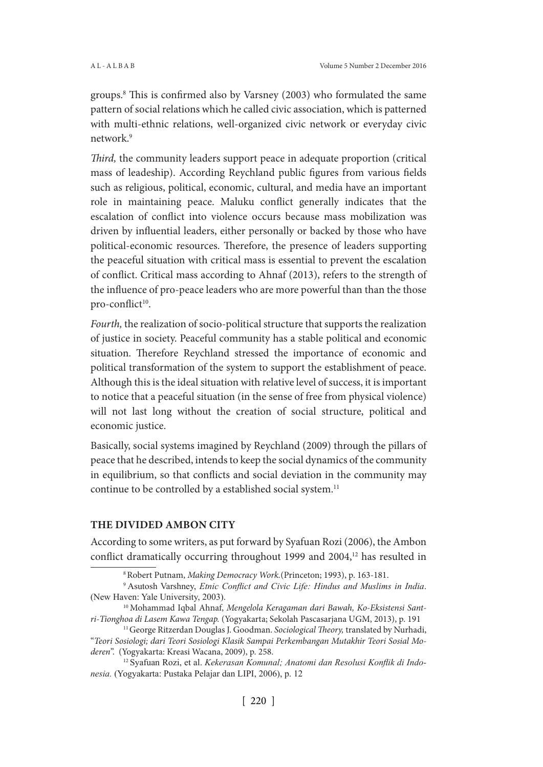groups.8 This is confirmed also by Varsney (2003) who formulated the same pattern of social relations which he called civic association, which is patterned with multi-ethnic relations, well-organized civic network or everyday civic network.9

*Third,* the community leaders support peace in adequate proportion (critical mass of leadeship). According Reychland public figures from various fields such as religious, political, economic, cultural, and media have an important role in maintaining peace. Maluku conflict generally indicates that the escalation of conflict into violence occurs because mass mobilization was driven by influential leaders, either personally or backed by those who have political-economic resources. Therefore, the presence of leaders supporting the peaceful situation with critical mass is essential to prevent the escalation of conflict. Critical mass according to Ahnaf (2013), refers to the strength of the influence of pro-peace leaders who are more powerful than than the those pro-conflict<sup>10</sup>.

*Fourth,* the realization of socio-political structure that supports the realization of justice in society. Peaceful community has a stable political and economic situation. Therefore Reychland stressed the importance of economic and political transformation of the system to support the establishment of peace. Although this is the ideal situation with relative level of success, it is important to notice that a peaceful situation (in the sense of free from physical violence) will not last long without the creation of social structure, political and economic justice.

Basically, social systems imagined by Reychland (2009) through the pillars of peace that he described, intends to keep the social dynamics of the community in equilibrium, so that conflicts and social deviation in the community may continue to be controlled by a established social system.<sup>11</sup>

# **THE DIVIDED AMBON CITY**

According to some writers, as put forward by Syafuan Rozi (2006), the Ambon conflict dramatically occurring throughout 1999 and 2004,<sup>12</sup> has resulted in

<sup>12</sup> Syafuan Rozi, et al. *Kekerasan Komunal; Anatomi dan Resolusi Konflik di Indonesia.* (Yogyakarta: Pustaka Pelajar dan LIPI, 2006), p. 12

<sup>8</sup> Robert Putnam, *Making Democracy Work.*(Princeton; 1993), p. 163-181.

<sup>9</sup>Asutosh Varshney, *Etnic Conflict and Civic Life: Hindus and Muslims in India*. (New Haven: Yale University, 2003).

<sup>10</sup> Mohammad Iqbal Ahnaf, *Mengelola Keragaman dari Bawah, Ko-Eksistensi Santri-Tionghoa di Lasem Kawa Tengap.* (Yogyakarta; Sekolah Pascasarjana UGM, 2013), p. 191

<sup>&</sup>lt;sup>11</sup> George Ritzerdan Douglas J. Goodman. *Sociological Theory*, translated by Nurhadi, "*Teori Sosiologi; dari Teori Sosiologi Klasik Sampai Perkembangan Mutakhir Teori Sosial Moderen*". (Yogyakarta: Kreasi Wacana, 2009), p. 258.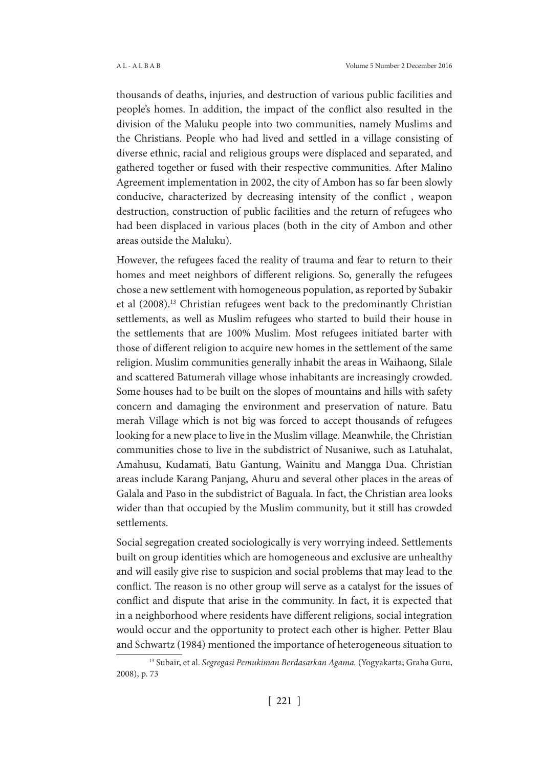thousands of deaths, injuries, and destruction of various public facilities and people's homes. In addition, the impact of the conflict also resulted in the division of the Maluku people into two communities, namely Muslims and the Christians. People who had lived and settled in a village consisting of diverse ethnic, racial and religious groups were displaced and separated, and gathered together or fused with their respective communities. After Malino Agreement implementation in 2002, the city of Ambon has so far been slowly conducive, characterized by decreasing intensity of the conflict , weapon destruction, construction of public facilities and the return of refugees who had been displaced in various places (both in the city of Ambon and other areas outside the Maluku).

However, the refugees faced the reality of trauma and fear to return to their homes and meet neighbors of different religions. So, generally the refugees chose a new settlement with homogeneous population, as reported by Subakir et al (2008).13 Christian refugees went back to the predominantly Christian settlements, as well as Muslim refugees who started to build their house in the settlements that are 100% Muslim. Most refugees initiated barter with those of different religion to acquire new homes in the settlement of the same religion. Muslim communities generally inhabit the areas in Waihaong, Silale and scattered Batumerah village whose inhabitants are increasingly crowded. Some houses had to be built on the slopes of mountains and hills with safety concern and damaging the environment and preservation of nature. Batu merah Village which is not big was forced to accept thousands of refugees looking for a new place to live in the Muslim village. Meanwhile, the Christian communities chose to live in the subdistrict of Nusaniwe, such as Latuhalat, Amahusu, Kudamati, Batu Gantung, Wainitu and Mangga Dua. Christian areas include Karang Panjang, Ahuru and several other places in the areas of Galala and Paso in the subdistrict of Baguala. In fact, the Christian area looks wider than that occupied by the Muslim community, but it still has crowded settlements.

Social segregation created sociologically is very worrying indeed. Settlements built on group identities which are homogeneous and exclusive are unhealthy and will easily give rise to suspicion and social problems that may lead to the conflict. The reason is no other group will serve as a catalyst for the issues of conflict and dispute that arise in the community. In fact, it is expected that in a neighborhood where residents have different religions, social integration would occur and the opportunity to protect each other is higher. Petter Blau and Schwartz (1984) mentioned the importance of heterogeneous situation to

<sup>13</sup> Subair, et al. *Segregasi Pemukiman Berdasarkan Agama.* (Yogyakarta; Graha Guru, 2008), p. 73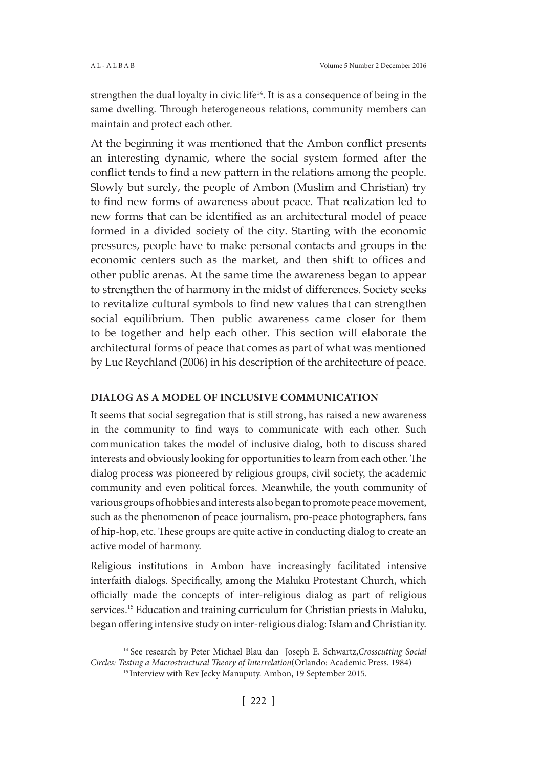strengthen the dual loyalty in civic life<sup>14</sup>. It is as a consequence of being in the same dwelling. Through heterogeneous relations, community members can maintain and protect each other.

At the beginning it was mentioned that the Ambon conflict presents an interesting dynamic, where the social system formed after the conflict tends to find a new pattern in the relations among the people. Slowly but surely, the people of Ambon (Muslim and Christian) try to find new forms of awareness about peace. That realization led to new forms that can be identified as an architectural model of peace formed in a divided society of the city. Starting with the economic pressures, people have to make personal contacts and groups in the economic centers such as the market, and then shift to offices and other public arenas. At the same time the awareness began to appear to strengthen the of harmony in the midst of differences. Society seeks to revitalize cultural symbols to find new values that can strengthen social equilibrium. Then public awareness came closer for them to be together and help each other. This section will elaborate the architectural forms of peace that comes as part of what was mentioned by Luc Reychland (2006) in his description of the architecture of peace.

# **DIALOG AS A MODEL OF INCLUSIVE COMMUNICATION**

It seems that social segregation that is still strong, has raised a new awareness in the community to find ways to communicate with each other. Such communication takes the model of inclusive dialog, both to discuss shared interests and obviously looking for opportunities to learn from each other. The dialog process was pioneered by religious groups, civil society, the academic community and even political forces. Meanwhile, the youth community of various groups of hobbies and interests also began to promote peace movement, such as the phenomenon of peace journalism, pro-peace photographers, fans of hip-hop, etc. These groups are quite active in conducting dialog to create an active model of harmony.

Religious institutions in Ambon have increasingly facilitated intensive interfaith dialogs. Specifically, among the Maluku Protestant Church, which officially made the concepts of inter-religious dialog as part of religious services.<sup>15</sup> Education and training curriculum for Christian priests in Maluku, began offering intensive study on inter-religious dialog: Islam and Christianity.

<sup>14</sup> See research by Peter Michael Blau dan Joseph E. Schwartz,*Crosscutting Social Circles: Testing a Macrostructural Theory of Interrelation*(Orlando: Academic Press. 1984)

<sup>&</sup>lt;sup>15</sup> Interview with Rev Jecky Manuputy. Ambon, 19 September 2015.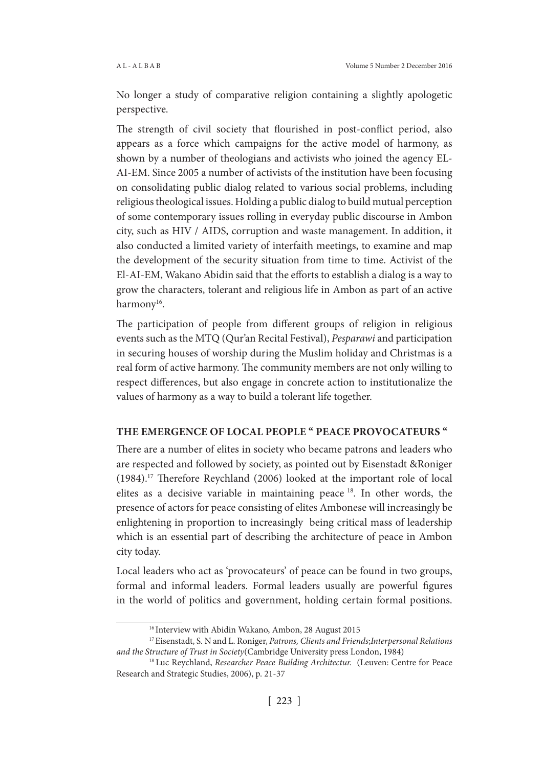No longer a study of comparative religion containing a slightly apologetic perspective.

The strength of civil society that flourished in post-conflict period, also appears as a force which campaigns for the active model of harmony, as shown by a number of theologians and activists who joined the agency EL-AI-EM. Since 2005 a number of activists of the institution have been focusing on consolidating public dialog related to various social problems, including religious theological issues. Holding a public dialog to build mutual perception of some contemporary issues rolling in everyday public discourse in Ambon city, such as HIV / AIDS, corruption and waste management. In addition, it also conducted a limited variety of interfaith meetings, to examine and map the development of the security situation from time to time. Activist of the El-AI-EM, Wakano Abidin said that the efforts to establish a dialog is a way to grow the characters, tolerant and religious life in Ambon as part of an active harmony<sup>16</sup>.

The participation of people from different groups of religion in religious events such as the MTQ (Qur'an Recital Festival), *Pesparawi* and participation in securing houses of worship during the Muslim holiday and Christmas is a real form of active harmony. The community members are not only willing to respect differences, but also engage in concrete action to institutionalize the values of harmony as a way to build a tolerant life together.

#### **THE EMERGENCE OF LOCAL PEOPLE " PEACE PROVOCATEURS "**

There are a number of elites in society who became patrons and leaders who are respected and followed by society, as pointed out by Eisenstadt &Roniger (1984).17 Therefore Reychland (2006) looked at the important role of local elites as a decisive variable in maintaining peace 18. In other words, the presence of actors for peace consisting of elites Ambonese will increasingly be enlightening in proportion to increasingly being critical mass of leadership which is an essential part of describing the architecture of peace in Ambon city today.

Local leaders who act as 'provocateurs' of peace can be found in two groups, formal and informal leaders. Formal leaders usually are powerful figures in the world of politics and government, holding certain formal positions.

<sup>&</sup>lt;sup>16</sup> Interview with Abidin Wakano, Ambon, 28 August 2015

<sup>17</sup> Eisenstadt, S. N and L. Roniger, *Patrons, Clients and Friends*;*Interpersonal Relations and the Structure of Trust in Society*(Cambridge University press London, 1984)

<sup>&</sup>lt;sup>18</sup> Luc Reychland, *Researcher Peace Building Architectur.* (Leuven: Centre for Peace Research and Strategic Studies, 2006), p. 21-37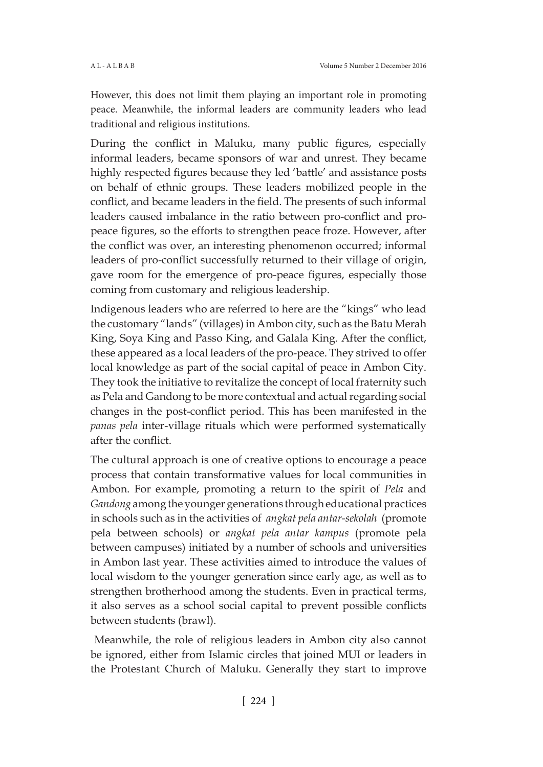However, this does not limit them playing an important role in promoting peace. Meanwhile, the informal leaders are community leaders who lead traditional and religious institutions.

During the conflict in Maluku, many public figures, especially informal leaders, became sponsors of war and unrest. They became highly respected figures because they led 'battle' and assistance posts on behalf of ethnic groups. These leaders mobilized people in the conflict, and became leaders in the field. The presents of such informal leaders caused imbalance in the ratio between pro-conflict and propeace figures, so the efforts to strengthen peace froze. However, after the conflict was over, an interesting phenomenon occurred; informal leaders of pro-conflict successfully returned to their village of origin, gave room for the emergence of pro-peace figures, especially those coming from customary and religious leadership.

Indigenous leaders who are referred to here are the "kings" who lead the customary "lands" (villages) in Ambon city, such as the Batu Merah King, Soya King and Passo King, and Galala King. After the conflict, these appeared as a local leaders of the pro-peace. They strived to offer local knowledge as part of the social capital of peace in Ambon City. They took the initiative to revitalize the concept of local fraternity such as Pela and Gandong to be more contextual and actual regarding social changes in the post-conflict period. This has been manifested in the *panas pela* inter-village rituals which were performed systematically after the conflict.

The cultural approach is one of creative options to encourage a peace process that contain transformative values for local communities in Ambon. For example, promoting a return to the spirit of *Pela* and *Gandong* among the younger generations through educational practices in schools such as in the activities of *angkat pela antar-sekolah* (promote pela between schools) or *angkat pela antar kampus* (promote pela between campuses) initiated by a number of schools and universities in Ambon last year. These activities aimed to introduce the values of local wisdom to the younger generation since early age, as well as to strengthen brotherhood among the students. Even in practical terms, it also serves as a school social capital to prevent possible conflicts between students (brawl).

 Meanwhile, the role of religious leaders in Ambon city also cannot be ignored, either from Islamic circles that joined MUI or leaders in the Protestant Church of Maluku. Generally they start to improve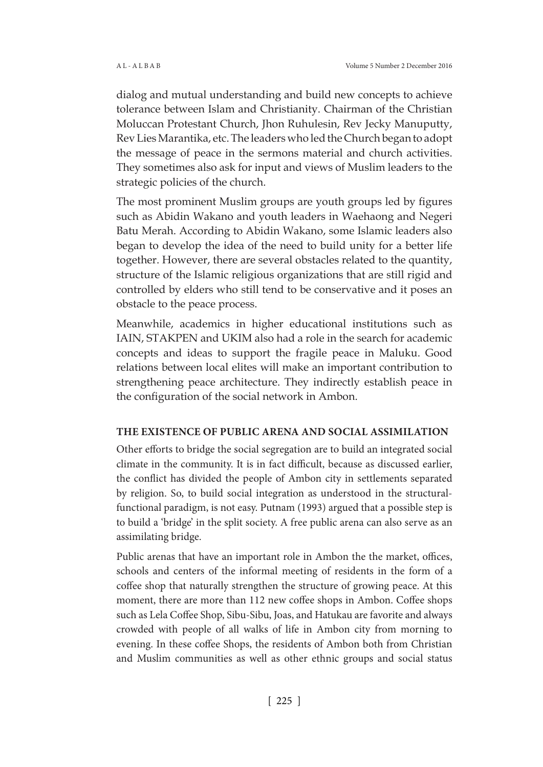dialog and mutual understanding and build new concepts to achieve tolerance between Islam and Christianity. Chairman of the Christian Moluccan Protestant Church, Jhon Ruhulesin, Rev Jecky Manuputty, Rev Lies Marantika, etc. The leaders who led the Church began to adopt the message of peace in the sermons material and church activities. They sometimes also ask for input and views of Muslim leaders to the strategic policies of the church.

The most prominent Muslim groups are youth groups led by figures such as Abidin Wakano and youth leaders in Waehaong and Negeri Batu Merah. According to Abidin Wakano, some Islamic leaders also began to develop the idea of the need to build unity for a better life together. However, there are several obstacles related to the quantity, structure of the Islamic religious organizations that are still rigid and controlled by elders who still tend to be conservative and it poses an obstacle to the peace process.

Meanwhile, academics in higher educational institutions such as IAIN, STAKPEN and UKIM also had a role in the search for academic concepts and ideas to support the fragile peace in Maluku. Good relations between local elites will make an important contribution to strengthening peace architecture. They indirectly establish peace in the configuration of the social network in Ambon.

# **THE EXISTENCE OF PUBLIC ARENA AND SOCIAL ASSIMILATION**

Other efforts to bridge the social segregation are to build an integrated social climate in the community. It is in fact difficult, because as discussed earlier, the conflict has divided the people of Ambon city in settlements separated by religion. So, to build social integration as understood in the structuralfunctional paradigm, is not easy. Putnam (1993) argued that a possible step is to build a 'bridge' in the split society. A free public arena can also serve as an assimilating bridge.

Public arenas that have an important role in Ambon the the market, offices, schools and centers of the informal meeting of residents in the form of a coffee shop that naturally strengthen the structure of growing peace. At this moment, there are more than 112 new coffee shops in Ambon. Coffee shops such as Lela Coffee Shop, Sibu-Sibu, Joas, and Hatukau are favorite and always crowded with people of all walks of life in Ambon city from morning to evening. In these coffee Shops, the residents of Ambon both from Christian and Muslim communities as well as other ethnic groups and social status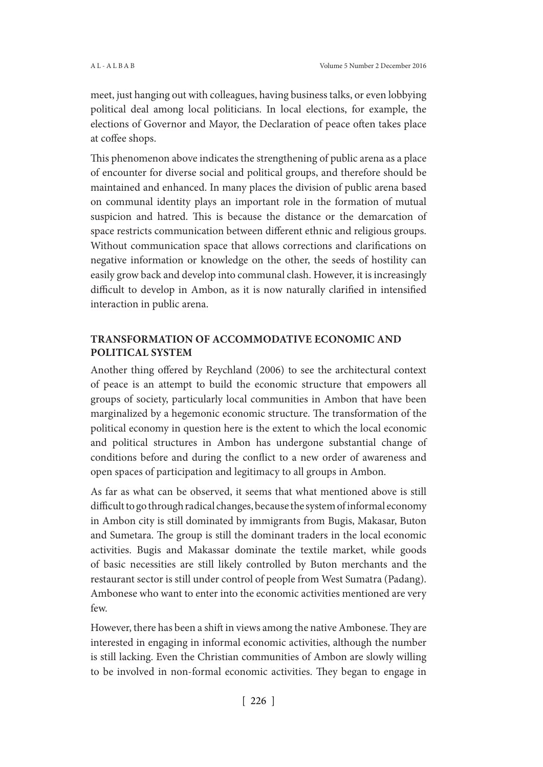meet, just hanging out with colleagues, having business talks, or even lobbying political deal among local politicians. In local elections, for example, the elections of Governor and Mayor, the Declaration of peace often takes place at coffee shops.

This phenomenon above indicates the strengthening of public arena as a place of encounter for diverse social and political groups, and therefore should be maintained and enhanced. In many places the division of public arena based on communal identity plays an important role in the formation of mutual suspicion and hatred. This is because the distance or the demarcation of space restricts communication between different ethnic and religious groups. Without communication space that allows corrections and clarifications on negative information or knowledge on the other, the seeds of hostility can easily grow back and develop into communal clash. However, it is increasingly difficult to develop in Ambon, as it is now naturally clarified in intensified interaction in public arena.

# **TRANSFORMATION OF ACCOMMODATIVE ECONOMIC AND POLITICAL SYSTEM**

Another thing offered by Reychland (2006) to see the architectural context of peace is an attempt to build the economic structure that empowers all groups of society, particularly local communities in Ambon that have been marginalized by a hegemonic economic structure. The transformation of the political economy in question here is the extent to which the local economic and political structures in Ambon has undergone substantial change of conditions before and during the conflict to a new order of awareness and open spaces of participation and legitimacy to all groups in Ambon.

As far as what can be observed, it seems that what mentioned above is still difficult to go through radical changes, because the system of informal economy in Ambon city is still dominated by immigrants from Bugis, Makasar, Buton and Sumetara. The group is still the dominant traders in the local economic activities. Bugis and Makassar dominate the textile market, while goods of basic necessities are still likely controlled by Buton merchants and the restaurant sector is still under control of people from West Sumatra (Padang). Ambonese who want to enter into the economic activities mentioned are very few.

However, there has been a shift in views among the native Ambonese. They are interested in engaging in informal economic activities, although the number is still lacking. Even the Christian communities of Ambon are slowly willing to be involved in non-formal economic activities. They began to engage in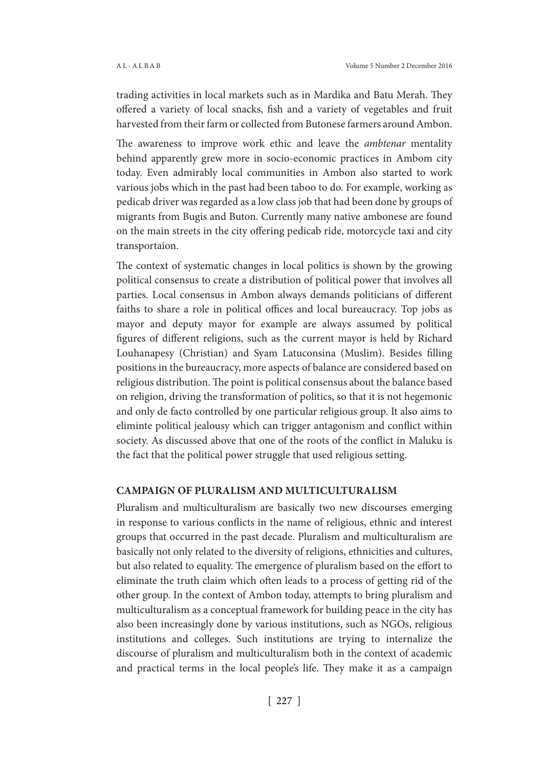trading activities in local markets such as in Mardika and Batu Merah. They offered a variety of local snacks, fish and a variety of vegetables and fruit harvested from their farm or collected from Butonese farmers around Ambon.

The awareness to improve work ethic and leave the *ambtenar* mentality behind apparently grew more in socio-economic practices in Ambom city today. Even admirably local communities in Ambon also started to work various jobs which in the past had been taboo to do. For example, working as pedicab driver was regarded as a low class job that had been done by groups of migrants from Bugis and Buton. Currently many native ambonese are found on the main streets in the city offering pedicab ride, motorcycle taxi and city transportaion.

The context of systematic changes in local politics is shown by the growing political consensus to create a distribution of political power that involves all parties. Local consensus in Ambon always demands politicians of different faiths to share a role in political offices and local bureaucracy. Top jobs as mayor and deputy mayor for example are always assumed by political figures of different religions, such as the current mayor is held by Richard Louhanapesy (Christian) and Syam Latuconsina (Muslim). Besides filling positions in the bureaucracy, more aspects of balance are considered based on religious distribution. The point is political consensus about the balance based on religion, driving the transformation of politics, so that it is not hegemonic and only de facto controlled by one particular religious group. It also aims to eliminte political jealousy which can trigger antagonism and conflict within society. As discussed above that one of the roots of the conflict in Maluku is the fact that the political power struggle that used religious setting.

#### **CAMPAIGN OF PLURALISM AND MULTICULTURALISM**

Pluralism and multiculturalism are basically two new discourses emerging in response to various conflicts in the name of religious, ethnic and interest groups that occurred in the past decade. Pluralism and multiculturalism are basically not only related to the diversity of religions, ethnicities and cultures, but also related to equality. The emergence of pluralism based on the effort to eliminate the truth claim which often leads to a process of getting rid of the other group. In the context of Ambon today, attempts to bring pluralism and multiculturalism as a conceptual framework for building peace in the city has also been increasingly done by various institutions, such as NGOs, religious institutions and colleges. Such institutions are trying to internalize the discourse of pluralism and multiculturalism both in the context of academic and practical terms in the local people's life. They make it as a campaign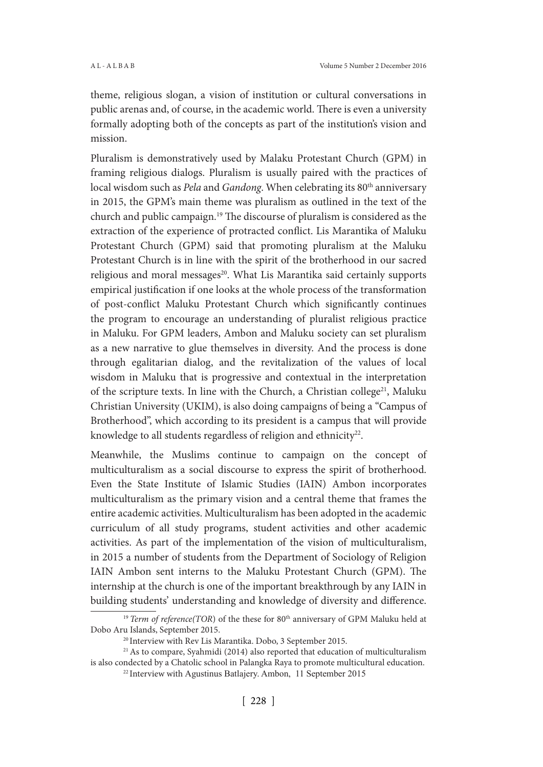theme, religious slogan, a vision of institution or cultural conversations in public arenas and, of course, in the academic world. There is even a university formally adopting both of the concepts as part of the institution's vision and mission.

Pluralism is demonstratively used by Malaku Protestant Church (GPM) in framing religious dialogs. Pluralism is usually paired with the practices of local wisdom such as *Pela* and *Gandong*. When celebrating its 80th anniversary in 2015, the GPM's main theme was pluralism as outlined in the text of the church and public campaign.19 The discourse of pluralism is considered as the extraction of the experience of protracted conflict. Lis Marantika of Maluku Protestant Church (GPM) said that promoting pluralism at the Maluku Protestant Church is in line with the spirit of the brotherhood in our sacred religious and moral messages<sup>20</sup>. What Lis Marantika said certainly supports empirical justification if one looks at the whole process of the transformation of post-conflict Maluku Protestant Church which significantly continues the program to encourage an understanding of pluralist religious practice in Maluku. For GPM leaders, Ambon and Maluku society can set pluralism as a new narrative to glue themselves in diversity. And the process is done through egalitarian dialog, and the revitalization of the values of local wisdom in Maluku that is progressive and contextual in the interpretation of the scripture texts. In line with the Church, a Christian college<sup>21</sup>, Maluku Christian University (UKIM), is also doing campaigns of being a "Campus of Brotherhood", which according to its president is a campus that will provide knowledge to all students regardless of religion and ethnicity<sup>22</sup>.

Meanwhile, the Muslims continue to campaign on the concept of multiculturalism as a social discourse to express the spirit of brotherhood. Even the State Institute of Islamic Studies (IAIN) Ambon incorporates multiculturalism as the primary vision and a central theme that frames the entire academic activities. Multiculturalism has been adopted in the academic curriculum of all study programs, student activities and other academic activities. As part of the implementation of the vision of multiculturalism, in 2015 a number of students from the Department of Sociology of Religion IAIN Ambon sent interns to the Maluku Protestant Church (GPM). The internship at the church is one of the important breakthrough by any IAIN in building students' understanding and knowledge of diversity and difference.

<sup>&</sup>lt;sup>19</sup> *Term of reference*(TOR) of the these for 80<sup>th</sup> anniversary of GPM Maluku held at Dobo Aru Islands, September 2015.

<sup>20</sup> Interview with Rev Lis Marantika. Dobo, 3 September 2015.

<sup>&</sup>lt;sup>21</sup> As to compare, Syahmidi (2014) also reported that education of multiculturalism is also condected by a Chatolic school in Palangka Raya to promote multicultural education.

<sup>&</sup>lt;sup>22</sup> Interview with Agustinus Batlajery. Ambon, 11 September 2015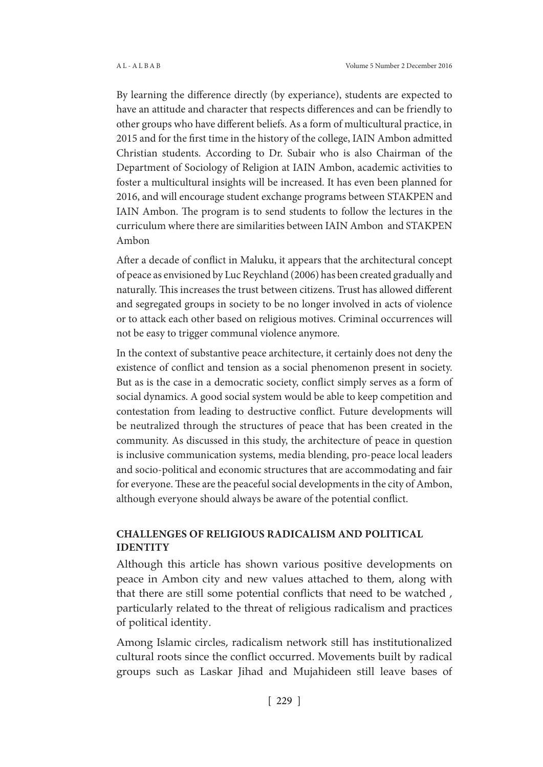By learning the difference directly (by experiance), students are expected to have an attitude and character that respects differences and can be friendly to other groups who have different beliefs. As a form of multicultural practice, in 2015 and for the first time in the history of the college, IAIN Ambon admitted Christian students. According to Dr. Subair who is also Chairman of the Department of Sociology of Religion at IAIN Ambon, academic activities to foster a multicultural insights will be increased. It has even been planned for 2016, and will encourage student exchange programs between STAKPEN and IAIN Ambon. The program is to send students to follow the lectures in the curriculum where there are similarities between IAIN Ambon and STAKPEN Ambon

After a decade of conflict in Maluku, it appears that the architectural concept of peace as envisioned by Luc Reychland (2006) has been created gradually and naturally. This increases the trust between citizens. Trust has allowed different and segregated groups in society to be no longer involved in acts of violence or to attack each other based on religious motives. Criminal occurrences will not be easy to trigger communal violence anymore.

In the context of substantive peace architecture, it certainly does not deny the existence of conflict and tension as a social phenomenon present in society. But as is the case in a democratic society, conflict simply serves as a form of social dynamics. A good social system would be able to keep competition and contestation from leading to destructive conflict. Future developments will be neutralized through the structures of peace that has been created in the community. As discussed in this study, the architecture of peace in question is inclusive communication systems, media blending, pro-peace local leaders and socio-political and economic structures that are accommodating and fair for everyone. These are the peaceful social developments in the city of Ambon, although everyone should always be aware of the potential conflict.

# **CHALLENGES OF RELIGIOUS RADICALISM AND POLITICAL IDENTITY**

Although this article has shown various positive developments on peace in Ambon city and new values attached to them, along with that there are still some potential conflicts that need to be watched , particularly related to the threat of religious radicalism and practices of political identity.

Among Islamic circles, radicalism network still has institutionalized cultural roots since the conflict occurred. Movements built by radical groups such as Laskar Jihad and Mujahideen still leave bases of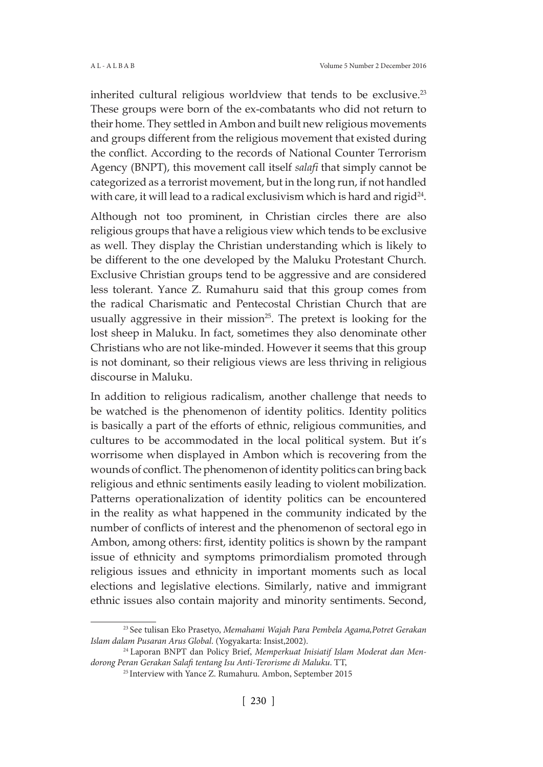inherited cultural religious worldview that tends to be exclusive.<sup>23</sup> These groups were born of the ex-combatants who did not return to their home. They settled in Ambon and built new religious movements and groups different from the religious movement that existed during the conflict. According to the records of National Counter Terrorism Agency (BNPT), this movement call itself *salafi* that simply cannot be categorized as a terrorist movement, but in the long run, if not handled with care, it will lead to a radical exclusivism which is hard and rigid $^{24}$ .

Although not too prominent, in Christian circles there are also religious groups that have a religious view which tends to be exclusive as well. They display the Christian understanding which is likely to be different to the one developed by the Maluku Protestant Church. Exclusive Christian groups tend to be aggressive and are considered less tolerant. Yance Z. Rumahuru said that this group comes from the radical Charismatic and Pentecostal Christian Church that are usually aggressive in their mission<sup>25</sup>. The pretext is looking for the lost sheep in Maluku. In fact, sometimes they also denominate other Christians who are not like-minded. However it seems that this group is not dominant, so their religious views are less thriving in religious discourse in Maluku.

In addition to religious radicalism, another challenge that needs to be watched is the phenomenon of identity politics. Identity politics is basically a part of the efforts of ethnic, religious communities, and cultures to be accommodated in the local political system. But it's worrisome when displayed in Ambon which is recovering from the wounds of conflict. The phenomenon of identity politics can bring back religious and ethnic sentiments easily leading to violent mobilization. Patterns operationalization of identity politics can be encountered in the reality as what happened in the community indicated by the number of conflicts of interest and the phenomenon of sectoral ego in Ambon, among others: first, identity politics is shown by the rampant issue of ethnicity and symptoms primordialism promoted through religious issues and ethnicity in important moments such as local elections and legislative elections. Similarly, native and immigrant ethnic issues also contain majority and minority sentiments. Second,

<sup>23</sup> See tulisan Eko Prasetyo, *Memahami Wajah Para Pembela Agama,Potret Gerakan Islam dalam Pusaran Arus Global*. (Yogyakarta: Insist,2002).

<sup>24</sup> Laporan BNPT dan Policy Brief, *Memperkuat Inisiatif Islam Moderat dan Mendorong Peran Gerakan Salafi tentang Isu Anti-Terorisme di Maluku*. TT,

<sup>&</sup>lt;sup>25</sup> Interview with Yance Z. Rumahuru. Ambon, September 2015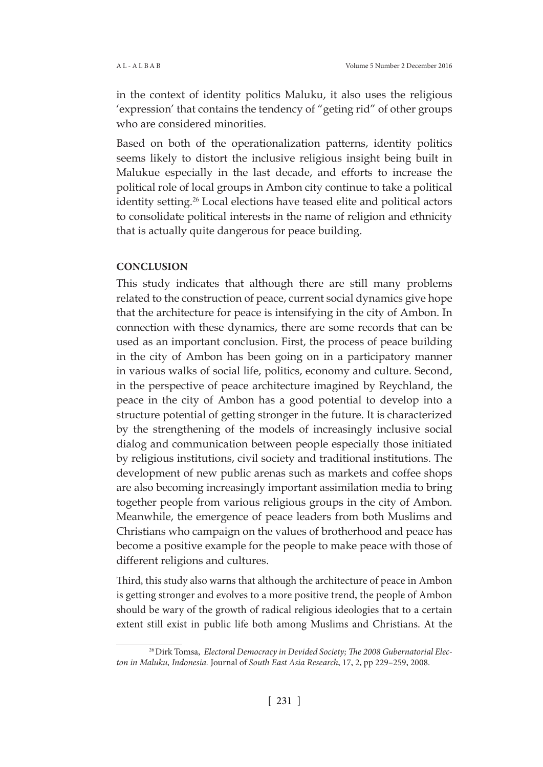in the context of identity politics Maluku, it also uses the religious 'expression' that contains the tendency of "geting rid" of other groups who are considered minorities.

Based on both of the operationalization patterns, identity politics seems likely to distort the inclusive religious insight being built in Malukue especially in the last decade, and efforts to increase the political role of local groups in Ambon city continue to take a political identity setting.<sup>26</sup> Local elections have teased elite and political actors to consolidate political interests in the name of religion and ethnicity that is actually quite dangerous for peace building.

# **CONCLUSION**

This study indicates that although there are still many problems related to the construction of peace, current social dynamics give hope that the architecture for peace is intensifying in the city of Ambon. In connection with these dynamics, there are some records that can be used as an important conclusion. First, the process of peace building in the city of Ambon has been going on in a participatory manner in various walks of social life, politics, economy and culture. Second, in the perspective of peace architecture imagined by Reychland, the peace in the city of Ambon has a good potential to develop into a structure potential of getting stronger in the future. It is characterized by the strengthening of the models of increasingly inclusive social dialog and communication between people especially those initiated by religious institutions, civil society and traditional institutions. The development of new public arenas such as markets and coffee shops are also becoming increasingly important assimilation media to bring together people from various religious groups in the city of Ambon. Meanwhile, the emergence of peace leaders from both Muslims and Christians who campaign on the values of brotherhood and peace has become a positive example for the people to make peace with those of different religions and cultures.

Third, this study also warns that although the architecture of peace in Ambon is getting stronger and evolves to a more positive trend, the people of Ambon should be wary of the growth of radical religious ideologies that to a certain extent still exist in public life both among Muslims and Christians. At the

<sup>26</sup> Dirk Tomsa, *Electoral Democracy in Devided Society; The 2008 Gubernatorial Electon in Maluku, Indonesia.* Journal of *South East Asia Research*, 17, 2, pp 229–259, 2008.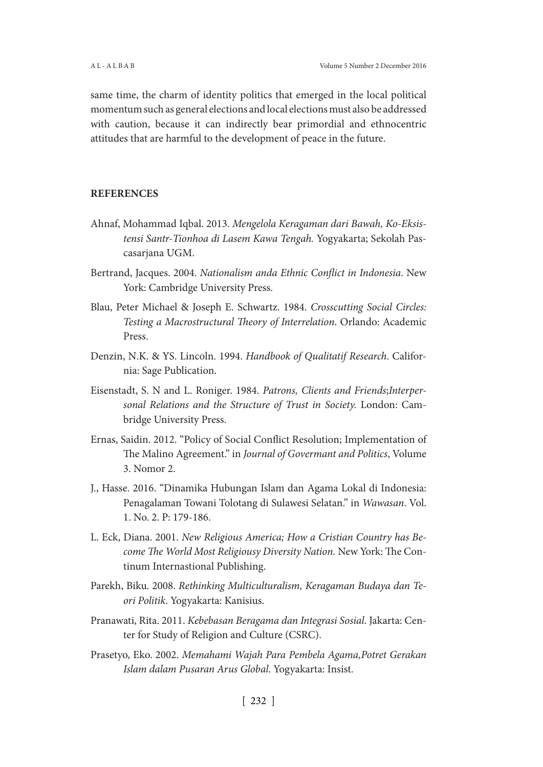same time, the charm of identity politics that emerged in the local political momentum such as general elections and local elections must also be addressed with caution, because it can indirectly bear primordial and ethnocentric attitudes that are harmful to the development of peace in the future.

### **REFERENCES**

- Ahnaf, Mohammad Iqbal. 2013. *Mengelola Keragaman dari Bawah, Ko-Eksistensi Santr-Tionhoa di Lasem Kawa Tengah.* Yogyakarta; Sekolah Pascasarjana UGM.
- Bertrand, Jacques. 2004. *Nationalism anda Ethnic Conflict in Indonesia*. New York: Cambridge University Press.
- Blau, Peter Michael & Joseph E. Schwartz. 1984. *Crosscutting Social Circles: Testing a Macrostructural Theory of Interrelation*. Orlando: Academic Press.
- Denzin, N.K. & YS. Lincoln. 1994. *Handbook of Qualitatif Research*. California: Sage Publication.
- Eisenstadt, S. N and L. Roniger. 1984. *Patrons, Clients and Friends*;*Interpersonal Relations and the Structure of Trust in Society.* London: Cambridge University Press.
- Ernas, Saidin. 2012. "Policy of Social Conflict Resolution; Implementation of The Malino Agreement." in *Journal of Govermant and Politics*, Volume 3. Nomor 2.
- J., Hasse. 2016. "Dinamika Hubungan Islam dan Agama Lokal di Indonesia: Penagalaman Towani Tolotang di Sulawesi Selatan." in *Wawasan*. Vol. 1. No. 2. P: 179-186.
- L. Eck, Diana. 2001. *New Religious America; How a Cristian Country has Become The World Most Religiousy Diversity Nation.* New York: The Continum Internastional Publishing.
- Parekh, Biku. 2008. *Rethinking Multiculturalism, Keragaman Budaya dan Teori Politik*. Yogyakarta: Kanisius.
- Pranawati, Rita. 2011. *Kebebasan Beragama dan Integrasi Sosial*. Jakarta: Center for Study of Religion and Culture (CSRC).
- Prasetyo, Eko. 2002. *Memahami Wajah Para Pembela Agama,Potret Gerakan Islam dalam Pusaran Arus Global*. Yogyakarta: Insist.